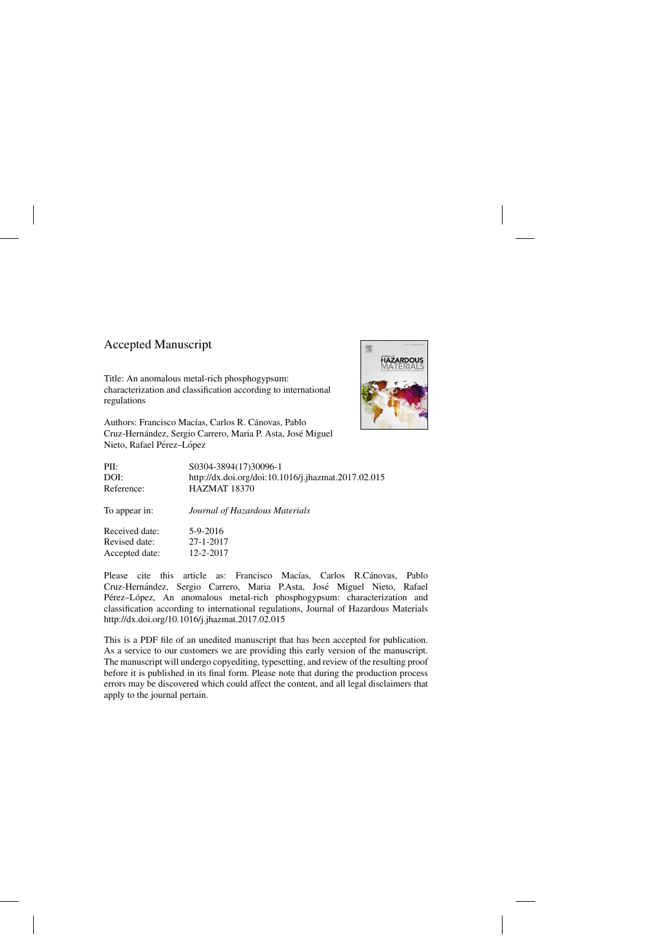## Accepted Manuscript

Title: An anomalous metal-rich phosphogypsum: characterization and classification according to international regulations





| PII:           | S0304-3894(17)30096-1                               |
|----------------|-----------------------------------------------------|
| DOI:           | http://dx.doi.org/doi:10.1016/j.jhazmat.2017.02.015 |
| Reference:     | HAZMAT 18370                                        |
| To appear in:  | Journal of Hazardous Materials                      |
| Received date: | 5-9-2016                                            |
| Revised date:  | $27 - 1 - 2017$                                     |
| Accepted date: | $12 - 2 - 2017$                                     |

Please cite this article as: Francisco Macías, Carlos R.Cánovas, Pablo Cruz-Hernández, Sergio Carrero, Maria P.Asta, José Miguel Nieto, Rafael Pérez–López, An anomalous metal-rich phosphogypsum: characterization and classification according to international regulations, Journal of Hazardous Materials <http://dx.doi.org/10.1016/j.jhazmat.2017.02.015>

This is a PDF file of an unedited manuscript that has been accepted for publication. As a service to our customers we are providing this early version of the manuscript. The manuscript will undergo copyediting, typesetting, and review of the resulting proof before it is published in its final form. Please note that during the production process errors may be discovered which could affect the content, and all legal disclaimers that apply to the journal pertain.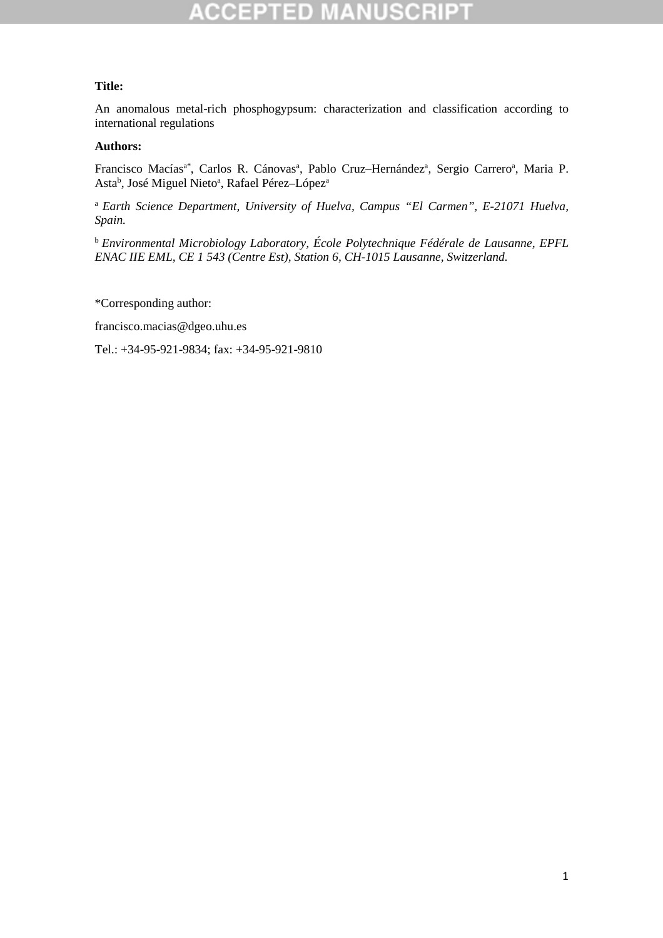### **Title:**

An anomalous metal-rich phosphogypsum: characterization and classification according to international regulations

#### **Authors:**

Francisco Macías<sup>a\*</sup>, Carlos R. Cánovas<sup>a</sup>, Pablo Cruz-Hernández<sup>a</sup>, Sergio Carrero<sup>a</sup>, Maria P. Asta<sup>b</sup>, José Miguel Nieto<sup>a</sup>, Rafael Pérez-López<sup>a</sup>

<sup>a</sup>*Earth Science Department, University of Huelva, Campus "El Carmen", E-21071 Huelva, Spain.* 

<sup>b</sup>*Environmental Microbiology Laboratory, École Polytechnique Fédérale de Lausanne, EPFL ENAC IIE EML, CE 1 543 (Centre Est), Station 6, CH-1015 Lausanne, Switzerland.* 

\*Corresponding author:

francisco.macias@dgeo.uhu.es

Tel.: +34-95-921-9834; fax: +34-95-921-9810